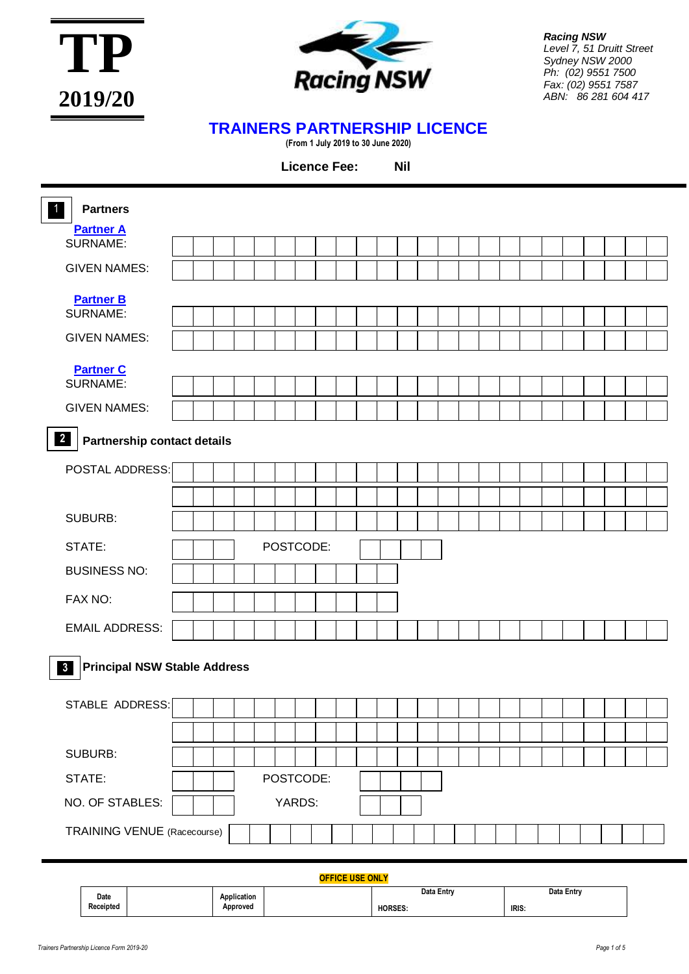



*Racing NSW Level 7, 51 Druitt Street Sydney NSW 2000 Ph: (02) 9551 7500 Fax: (02) 9551 7587 ABN: 86 281 604 417*

## **TRAINERS PARTNERSHIP LICENCE**

**(From 1 July 2019 to 30 June 2020)**

**Licence Fee:** 

| $\bullet$<br><b>Partners</b>                                  |  |  |           |  |                        |  |  |  |  |  |  |  |
|---------------------------------------------------------------|--|--|-----------|--|------------------------|--|--|--|--|--|--|--|
| <b>Partner A</b><br>SURNAME:                                  |  |  |           |  |                        |  |  |  |  |  |  |  |
| <b>GIVEN NAMES:</b>                                           |  |  |           |  |                        |  |  |  |  |  |  |  |
|                                                               |  |  |           |  |                        |  |  |  |  |  |  |  |
| <b>Partner B</b><br>SURNAME:                                  |  |  |           |  |                        |  |  |  |  |  |  |  |
| <b>GIVEN NAMES:</b>                                           |  |  |           |  |                        |  |  |  |  |  |  |  |
|                                                               |  |  |           |  |                        |  |  |  |  |  |  |  |
| <b>Partner C</b><br><b>SURNAME:</b>                           |  |  |           |  |                        |  |  |  |  |  |  |  |
| <b>GIVEN NAMES:</b>                                           |  |  |           |  |                        |  |  |  |  |  |  |  |
| $\overline{\mathbf{2}}$<br><b>Partnership contact details</b> |  |  |           |  |                        |  |  |  |  |  |  |  |
|                                                               |  |  |           |  |                        |  |  |  |  |  |  |  |
| POSTAL ADDRESS:                                               |  |  |           |  |                        |  |  |  |  |  |  |  |
|                                                               |  |  |           |  |                        |  |  |  |  |  |  |  |
| <b>SUBURB:</b>                                                |  |  |           |  |                        |  |  |  |  |  |  |  |
| STATE:                                                        |  |  | POSTCODE: |  |                        |  |  |  |  |  |  |  |
| <b>BUSINESS NO:</b>                                           |  |  |           |  |                        |  |  |  |  |  |  |  |
| FAX NO:                                                       |  |  |           |  |                        |  |  |  |  |  |  |  |
| <b>EMAIL ADDRESS:</b>                                         |  |  |           |  |                        |  |  |  |  |  |  |  |
| <b>Principal NSW Stable Address</b>                           |  |  |           |  |                        |  |  |  |  |  |  |  |
| $\mathbf{3}$                                                  |  |  |           |  |                        |  |  |  |  |  |  |  |
| STABLE ADDRESS:                                               |  |  |           |  |                        |  |  |  |  |  |  |  |
|                                                               |  |  |           |  |                        |  |  |  |  |  |  |  |
| SUBURB:                                                       |  |  |           |  |                        |  |  |  |  |  |  |  |
| STATE:                                                        |  |  | POSTCODE: |  |                        |  |  |  |  |  |  |  |
| NO. OF STABLES:                                               |  |  | YARDS:    |  |                        |  |  |  |  |  |  |  |
| <b>TRAINING VENUE</b> (Racecourse)                            |  |  |           |  |                        |  |  |  |  |  |  |  |
|                                                               |  |  |           |  | <b>OFFICE USE ONLY</b> |  |  |  |  |  |  |  |

|                   |             | ___________    |            |
|-------------------|-------------|----------------|------------|
| Date<br>Receipted | Application | Data Entry     | Data Entry |
|                   | Approved    | <b>HORSES.</b> | IRIS:      |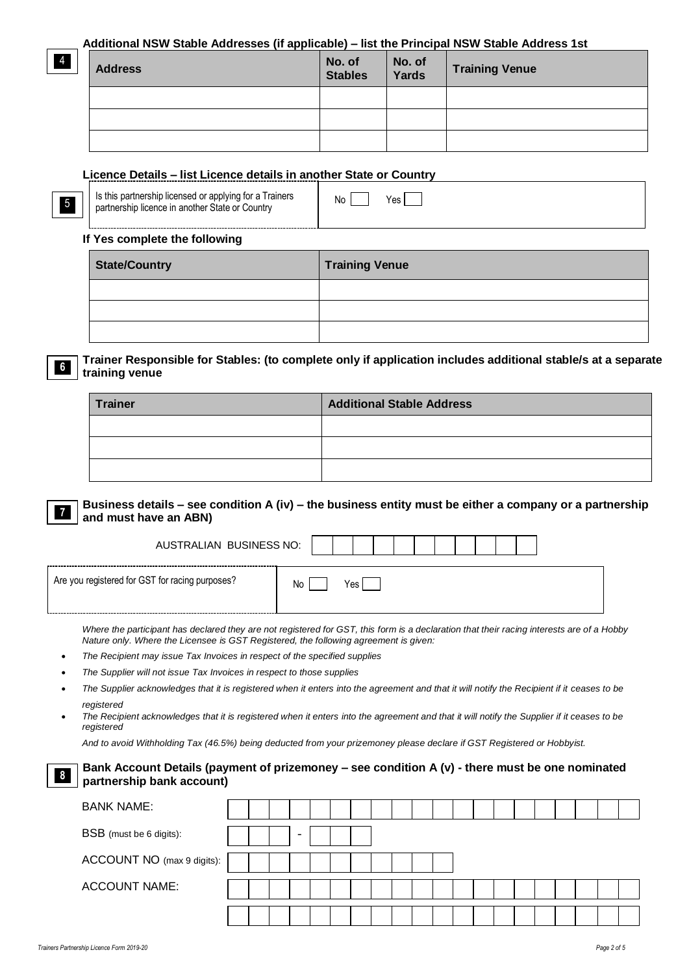### **Additional NSW Stable Addresses (if applicable) – list the Principal NSW Stable Address 1st**

| <b>Address</b> | No. of<br>Stables | No. of<br>Yards | <b>Training Venue</b> |
|----------------|-------------------|-----------------|-----------------------|
|                |                   |                 |                       |
|                |                   |                 |                       |
|                |                   |                 |                       |

### **Licence Details – list Licence details in another State or Country**

| Is this partnership licensed or applying for a Trainers | Yes. |
|---------------------------------------------------------|------|
| partnership licence in another State or Country         | No   |

### **If Yes complete the following**

4

5

**6**

| <b>State/Country</b> | <b>Training Venue</b> |
|----------------------|-----------------------|
|                      |                       |
|                      |                       |
|                      |                       |

### **Trainer Responsible for Stables: (to complete only if application includes additional stable/s at a separate training venue**

| <b>Trainer</b> | <b>Additional Stable Address</b> |
|----------------|----------------------------------|
|                |                                  |
|                |                                  |
|                |                                  |

**Business details – see condition A (iv) – the business entity must be either a company or a partnership and must have an ABN) 7**

| AUSTRALIAN BUSINESS NO:                         |           |
|-------------------------------------------------|-----------|
| Are you registered for GST for racing purposes? | No<br>Yes |

*Where the participant has declared they are not registered for GST, this form is a declaration that their racing interests are of a Hobby Nature only. Where the Licensee is GST Registered, the following agreement is given:*

- *The Recipient may issue Tax Invoices in respect of the specified supplies*
- *The Supplier will not issue Tax Invoices in respect to those supplies*
- The Supplier acknowledges that it is registered when it enters into the agreement and that it will notify the Recipient if it ceases to be *registered*
- *The Recipient acknowledges that it is registered when it enters into the agreement and that it will notify the Supplier if it ceases to be registered*

*And to avoid Withholding Tax (46.5%) being deducted from your prizemoney please declare if GST Registered or Hobbyist.*

| Bank Account Details (payment of prizemoney - see condition A (v) - there must be one nominated<br>$\sqrt{8}$<br>partnership bank account) |  |  |  |  |  |  |  |  |  |  |
|--------------------------------------------------------------------------------------------------------------------------------------------|--|--|--|--|--|--|--|--|--|--|
| <b>BANK NAME:</b>                                                                                                                          |  |  |  |  |  |  |  |  |  |  |
| <b>BSB</b> (must be 6 digits):                                                                                                             |  |  |  |  |  |  |  |  |  |  |
| ACCOUNT NO (max 9 digits):                                                                                                                 |  |  |  |  |  |  |  |  |  |  |
| <b>ACCOUNT NAME:</b>                                                                                                                       |  |  |  |  |  |  |  |  |  |  |
|                                                                                                                                            |  |  |  |  |  |  |  |  |  |  |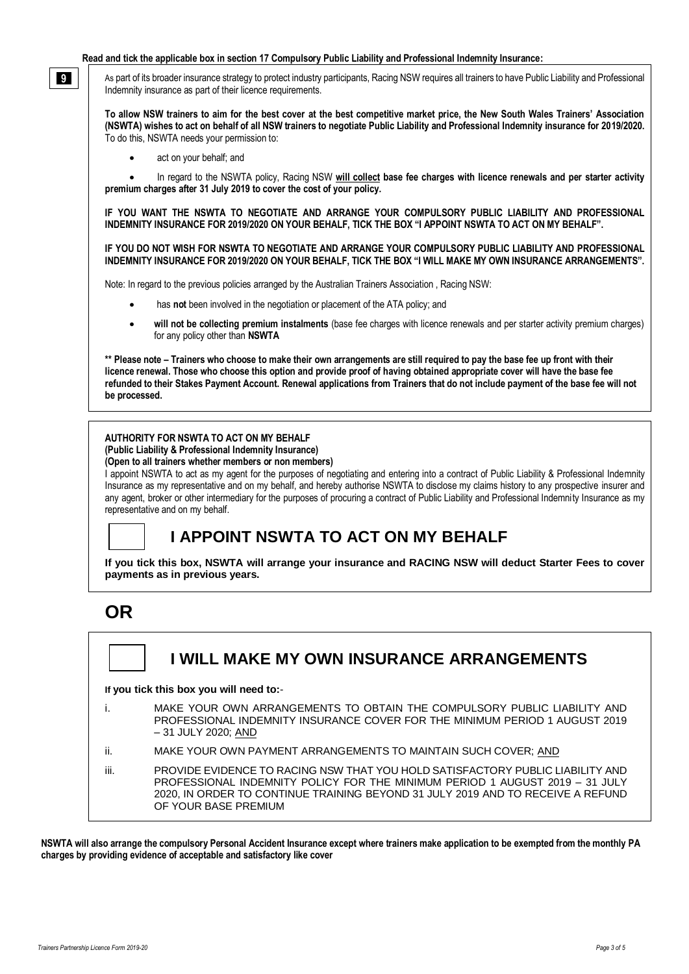#### **Read and tick the applicable box in section 17 Compulsory Public Liability and Professional Indemnity Insurance:**

As part of its broader insurance strategy to protect industry participants, Racing NSW requires all trainers to have Public Liability and Professional Indemnity insurance as part of their licence requirements.

**To allow NSW trainers to aim for the best cover at the best competitive market price, the New South Wales Trainers' Association (NSWTA) wishes to act on behalf of all NSW trainers to negotiate Public Liability and Professional Indemnity insurance for 2019/2020.**  To do this, NSWTA needs your permission to:

• act on your behalf; and

**9**

• In regard to the NSWTA policy, Racing NSW **will collect base fee charges with licence renewals and per starter activity premium charges after 31 July 2019 to cover the cost of your policy.**

**IF YOU WANT THE NSWTA TO NEGOTIATE AND ARRANGE YOUR COMPULSORY PUBLIC LIABILITY AND PROFESSIONAL INDEMNITY INSURANCE FOR 2019/2020 ON YOUR BEHALF, TICK THE BOX "I APPOINT NSWTA TO ACT ON MY BEHALF".** 

**IF YOU DO NOT WISH FOR NSWTA TO NEGOTIATE AND ARRANGE YOUR COMPULSORY PUBLIC LIABILITY AND PROFESSIONAL INDEMNITY INSURANCE FOR 2019/2020 ON YOUR BEHALF, TICK THE BOX "I WILL MAKE MY OWN INSURANCE ARRANGEMENTS".**

Note: In regard to the previous policies arranged by the Australian Trainers Association , Racing NSW:

- has **not** been involved in the negotiation or placement of the ATA policy; and
- **will not be collecting premium instalments** (base fee charges with licence renewals and per starter activity premium charges) for any policy other than **NSWTA**

**\*\* Please note – Trainers who choose to make their own arrangements are still required to pay the base fee up front with their licence renewal. Those who choose this option and provide proof of having obtained appropriate cover will have the base fee refunded to their Stakes Payment Account. Renewal applications from Trainers that do not include payment of the base fee will not be processed.**

### **AUTHORITY FOR NSWTA TO ACT ON MY BEHALF**

#### **(Public Liability & Professional Indemnity Insurance) (Open to all trainers whether members or non members)**

I appoint NSWTA to act as my agent for the purposes of negotiating and entering into a contract of Public Liability & Professional Indemnity Insurance as my representative and on my behalf, and hereby authorise NSWTA to disclose my claims history to any prospective insurer and any agent, broker or other intermediary for the purposes of procuring a contract of Public Liability and Professional Indemnity Insurance as my representative and on my behalf.

## **I APPOINT NSWTA TO ACT ON MY BEHALF**

**If you tick this box, NSWTA will arrange your insurance and RACING NSW will deduct Starter Fees to cover payments as in previous years.**

# **OR**

## **I WILL MAKE MY OWN INSURANCE ARRANGEMENTS**

**If you tick this box you will need to:**-

- i. MAKE YOUR OWN ARRANGEMENTS TO OBTAIN THE COMPULSORY PUBLIC LIABILITY AND PROFESSIONAL INDEMNITY INSURANCE COVER FOR THE MINIMUM PERIOD 1 AUGUST 2019 – 31 JULY 2020; AND
- ii. MAKE YOUR OWN PAYMENT ARRANGEMENTS TO MAINTAIN SUCH COVER; AND
- iii. PROVIDE EVIDENCE TO RACING NSW THAT YOU HOLD SATISFACTORY PUBLIC LIABILITY AND PROFESSIONAL INDEMNITY POLICY FOR THE MINIMUM PERIOD 1 AUGUST 2019 – 31 JULY 2020, IN ORDER TO CONTINUE TRAINING BEYOND 31 JULY 2019 AND TO RECEIVE A REFUND OF YOUR BASE PREMIUM

**NSWTA will also arrange the compulsory Personal Accident Insurance except where trainers make application to be exempted from the monthly PA charges by providing evidence of acceptable and satisfactory like cover**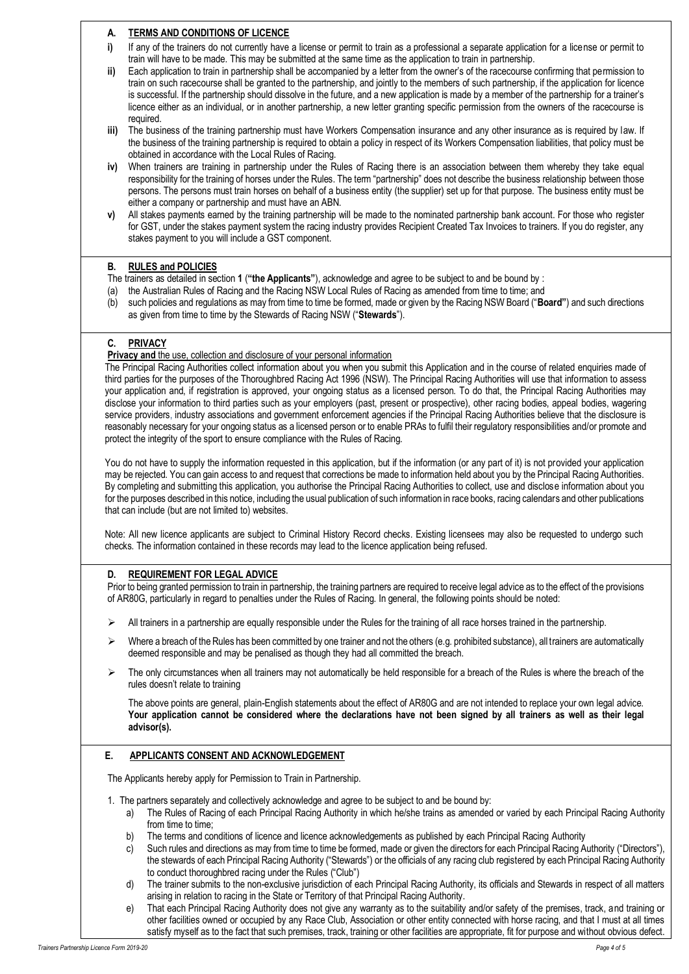### **A. TERMS AND CONDITIONS OF LICENCE**

- **i)** If any of the trainers do not currently have a license or permit to train as a professional a separate application for a license or permit to train will have to be made. This may be submitted at the same time as the application to train in partnership.
- **ii)** Each application to train in partnership shall be accompanied by a letter from the owner's of the racecourse confirming that permission to train on such racecourse shall be granted to the partnership, and jointly to the members of such partnership, if the application for licence is successful. If the partnership should dissolve in the future, and a new application is made by a member of the partnership for a trainer's licence either as an individual, or in another partnership, a new letter granting specific permission from the owners of the racecourse is required.
- **iii)** The business of the training partnership must have Workers Compensation insurance and any other insurance as is required by law. If the business of the training partnership is required to obtain a policy in respect of its Workers Compensation liabilities, that policy must be obtained in accordance with the Local Rules of Racing.
- **iv)** When trainers are training in partnership under the Rules of Racing there is an association between them whereby they take equal responsibility for the training of horses under the Rules. The term "partnership" does not describe the business relationship between those persons. The persons must train horses on behalf of a business entity (the supplier) set up for that purpose. The business entity must be either a company or partnership and must have an ABN.
- **v)** All stakes payments earned by the training partnership will be made to the nominated partnership bank account. For those who register for GST, under the stakes payment system the racing industry provides Recipient Created Tax Invoices to trainers. If you do register, any stakes payment to you will include a GST component.

#### **B. RULES and POLICIES**

- The trainers as detailed in section **1** (**"the Applicants"**), acknowledge and agree to be subject to and be bound by :
- (a) the Australian Rules of Racing and the Racing NSW Local Rules of Racing as amended from time to time; and
- (b) such policies and regulations as may from time to time be formed, made or given by the Racing NSW Board ("**Board"**) and such directions as given from time to time by the Stewards of Racing NSW ("**Stewards**").

### **C. PRIVACY**

**Privacy and the use, collection and disclosure of your personal information** 

The Principal Racing Authorities collect information about you when you submit this Application and in the course of related enquiries made of third parties for the purposes of the Thoroughbred Racing Act 1996 (NSW). The Principal Racing Authorities will use that information to assess your application and, if registration is approved, your ongoing status as a licensed person. To do that, the Principal Racing Authorities may disclose your information to third parties such as your employers (past, present or prospective), other racing bodies, appeal bodies, wagering service providers, industry associations and government enforcement agencies if the Principal Racing Authorities believe that the disclosure is reasonably necessary for your ongoing status as a licensed person or to enable PRAs to fulfil their regulatory responsibilities and/or promote and protect the integrity of the sport to ensure compliance with the Rules of Racing.

You do not have to supply the information requested in this application, but if the information (or any part of it) is not provided your application may be rejected. You can gain access to and request that corrections be made to information held about you by the Principal Racing Authorities. By completing and submitting this application, you authorise the Principal Racing Authorities to collect, use and disclose information about you for the purposes described in this notice, including the usual publication of such information in race books, racing calendars and other publications that can include (but are not limited to) websites.

Note: All new licence applicants are subject to Criminal History Record checks. Existing licensees may also be requested to undergo such checks. The information contained in these records may lead to the licence application being refused.

### **D. REQUIREMENT FOR LEGAL ADVICE**

Prior to being granted permission to train in partnership, the training partners are required to receive legal advice as to the effect of the provisions of AR80G, particularly in regard to penalties under the Rules of Racing. In general, the following points should be noted:

- $\triangleright$  All trainers in a partnership are equally responsible under the Rules for the training of all race horses trained in the partnership.
- $\triangleright$  Where a breach of the Rules has been committed by one trainer and not the others (e.g. prohibited substance), all trainers are automatically deemed responsible and may be penalised as though they had all committed the breach.
- $\triangleright$  The only circumstances when all trainers may not automatically be held responsible for a breach of the Rules is where the breach of the rules doesn't relate to training

The above points are general, plain-English statements about the effect of AR80G and are not intended to replace your own legal advice. **Your application cannot be considered where the declarations have not been signed by all trainers as well as their legal advisor(s).**

### **E. APPLICANTS CONSENT AND ACKNOWLEDGEMENT**

The Applicants hereby apply for Permission to Train in Partnership.

- 1. The partners separately and collectively acknowledge and agree to be subject to and be bound by:
	- a) The Rules of Racing of each Principal Racing Authority in which he/she trains as amended or varied by each Principal Racing Authority from time to time:
	- b) The terms and conditions of licence and licence acknowledgements as published by each Principal Racing Authority
	- c) Such rules and directions as may from time to time be formed, made or given the directors for each Principal Racing Authority ("Directors"), the stewards of each Principal Racing Authority ("Stewards") or the officials of any racing club registered by each Principal Racing Authority to conduct thoroughbred racing under the Rules ("Club")
	- d) The trainer submits to the non-exclusive jurisdiction of each Principal Racing Authority, its officials and Stewards in respect of all matters arising in relation to racing in the State or Territory of that Principal Racing Authority.
	- e) That each Principal Racing Authority does not give any warranty as to the suitability and/or safety of the premises, track, and training or other facilities owned or occupied by any Race Club, Association or other entity connected with horse racing, and that I must at all times satisfy myself as to the fact that such premises, track, training or other facilities are appropriate, fit for purpose and without obvious defect.